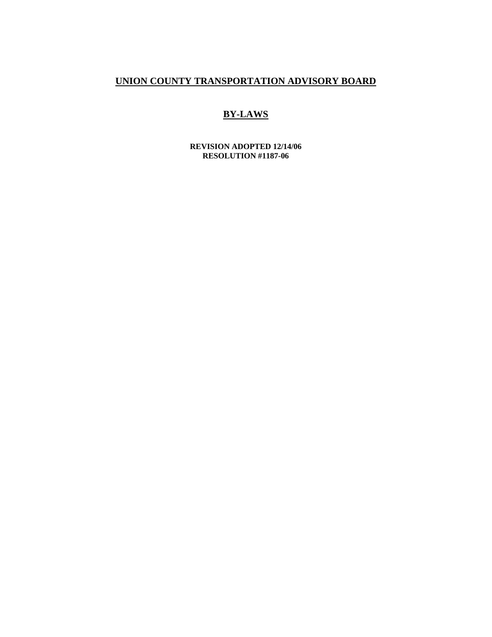# **UNION COUNTY TRANSPORTATION ADVISORY BOARD**

## **BY-LAWS**

**REVISION ADOPTED 12/14/06 RESOLUTION #1187-06**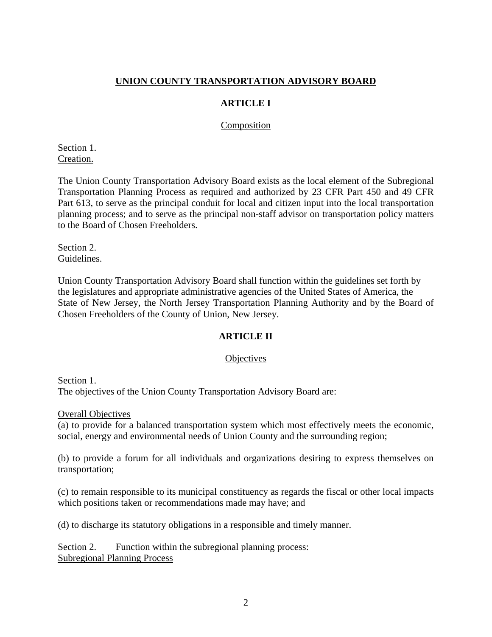### **UNION COUNTY TRANSPORTATION ADVISORY BOARD**

### **ARTICLE I**

#### Composition

Section 1. Creation.

The Union County Transportation Advisory Board exists as the local element of the Subregional Transportation Planning Process as required and authorized by 23 CFR Part 450 and 49 CFR Part 613, to serve as the principal conduit for local and citizen input into the local transportation planning process; and to serve as the principal non-staff advisor on transportation policy matters to the Board of Chosen Freeholders.

Section 2. Guidelines.

Union County Transportation Advisory Board shall function within the guidelines set forth by the legislatures and appropriate administrative agencies of the United States of America, the State of New Jersey, the North Jersey Transportation Planning Authority and by the Board of Chosen Freeholders of the County of Union, New Jersey.

### **ARTICLE II**

#### **Objectives**

Section 1. The objectives of the Union County Transportation Advisory Board are:

Overall Objectives

(a) to provide for a balanced transportation system which most effectively meets the economic, social, energy and environmental needs of Union County and the surrounding region;

(b) to provide a forum for all individuals and organizations desiring to express themselves on transportation;

(c) to remain responsible to its municipal constituency as regards the fiscal or other local impacts which positions taken or recommendations made may have; and

(d) to discharge its statutory obligations in a responsible and timely manner.

Section 2. Function within the subregional planning process: Subregional Planning Process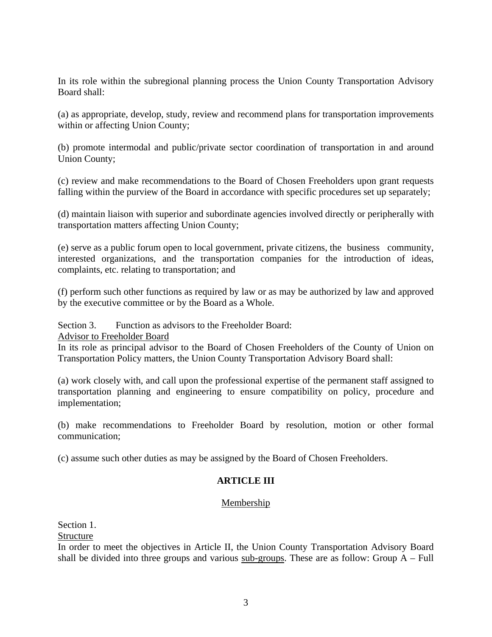In its role within the subregional planning process the Union County Transportation Advisory Board shall:

(a) as appropriate, develop, study, review and recommend plans for transportation improvements within or affecting Union County;

(b) promote intermodal and public/private sector coordination of transportation in and around Union County;

(c) review and make recommendations to the Board of Chosen Freeholders upon grant requests falling within the purview of the Board in accordance with specific procedures set up separately;

(d) maintain liaison with superior and subordinate agencies involved directly or peripherally with transportation matters affecting Union County;

(e) serve as a public forum open to local government, private citizens, the business community, interested organizations, and the transportation companies for the introduction of ideas, complaints, etc. relating to transportation; and

(f) perform such other functions as required by law or as may be authorized by law and approved by the executive committee or by the Board as a Whole.

Section 3. Function as advisors to the Freeholder Board:

Advisor to Freeholder Board

In its role as principal advisor to the Board of Chosen Freeholders of the County of Union on Transportation Policy matters, the Union County Transportation Advisory Board shall:

(a) work closely with, and call upon the professional expertise of the permanent staff assigned to transportation planning and engineering to ensure compatibility on policy, procedure and implementation;

(b) make recommendations to Freeholder Board by resolution, motion or other formal communication;

(c) assume such other duties as may be assigned by the Board of Chosen Freeholders.

### **ARTICLE III**

### Membership

Section 1.

Structure

In order to meet the objectives in Article II, the Union County Transportation Advisory Board shall be divided into three groups and various sub-groups. These are as follow: Group  $A$  – Full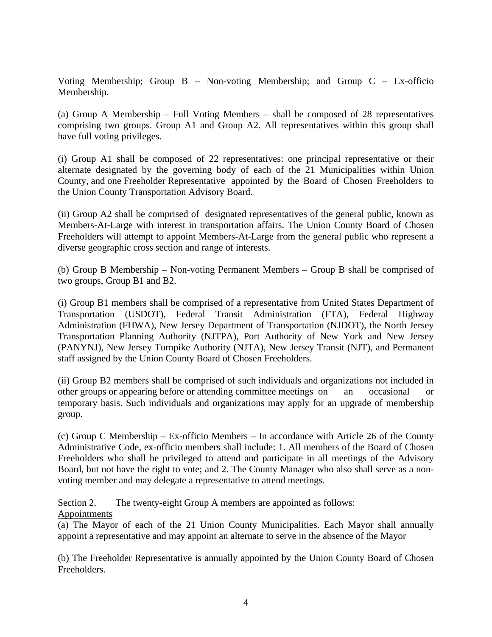Voting Membership; Group B – Non-voting Membership; and Group C – Ex-officio Membership.

(a) Group A Membership – Full Voting Members – shall be composed of 28 representatives comprising two groups. Group A1 and Group A2. All representatives within this group shall have full voting privileges.

(i) Group A1 shall be composed of 22 representatives: one principal representative or their alternate designated by the governing body of each of the 21 Municipalities within Union County, and one Freeholder Representative appointed by the Board of Chosen Freeholders to the Union County Transportation Advisory Board.

(ii) Group A2 shall be comprised of designated representatives of the general public, known as Members-At-Large with interest in transportation affairs. The Union County Board of Chosen Freeholders will attempt to appoint Members-At-Large from the general public who represent a diverse geographic cross section and range of interests.

(b) Group B Membership – Non-voting Permanent Members – Group B shall be comprised of two groups, Group B1 and B2.

(i) Group B1 members shall be comprised of a representative from United States Department of Transportation (USDOT), Federal Transit Administration (FTA), Federal Highway Administration (FHWA), New Jersey Department of Transportation (NJDOT), the North Jersey Transportation Planning Authority (NJTPA), Port Authority of New York and New Jersey (PANYNJ), New Jersey Turnpike Authority (NJTA), New Jersey Transit (NJT), and Permanent staff assigned by the Union County Board of Chosen Freeholders.

(ii) Group B2 members shall be comprised of such individuals and organizations not included in other groups or appearing before or attending committee meetings on an occasional or temporary basis. Such individuals and organizations may apply for an upgrade of membership group.

(c) Group C Membership – Ex-officio Members – In accordance with Article 26 of the County Administrative Code, ex-officio members shall include: 1. All members of the Board of Chosen Freeholders who shall be privileged to attend and participate in all meetings of the Advisory Board, but not have the right to vote; and 2. The County Manager who also shall serve as a nonvoting member and may delegate a representative to attend meetings.

Section 2. The twenty-eight Group A members are appointed as follows: Appointments

(a) The Mayor of each of the 21 Union County Municipalities. Each Mayor shall annually appoint a representative and may appoint an alternate to serve in the absence of the Mayor

(b) The Freeholder Representative is annually appointed by the Union County Board of Chosen Freeholders.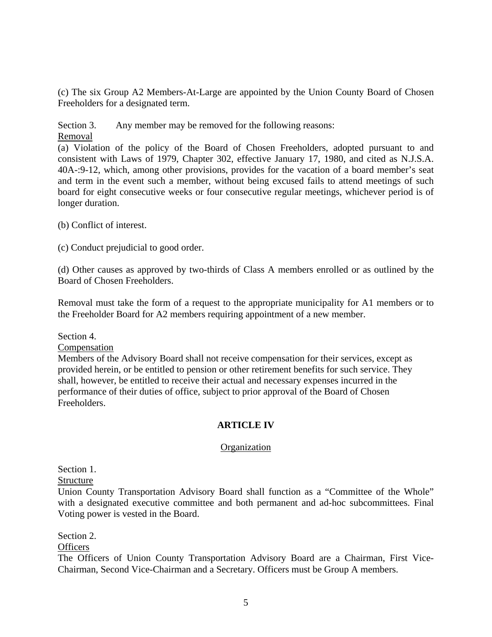(c) The six Group A2 Members-At-Large are appointed by the Union County Board of Chosen Freeholders for a designated term.

Section 3. Any member may be removed for the following reasons:

Removal

(a) Violation of the policy of the Board of Chosen Freeholders, adopted pursuant to and consistent with Laws of 1979, Chapter 302, effective January 17, 1980, and cited as N.J.S.A. 40A-:9-12, which, among other provisions, provides for the vacation of a board member's seat and term in the event such a member, without being excused fails to attend meetings of such board for eight consecutive weeks or four consecutive regular meetings, whichever period is of longer duration.

(b) Conflict of interest.

(c) Conduct prejudicial to good order.

(d) Other causes as approved by two-thirds of Class A members enrolled or as outlined by the Board of Chosen Freeholders.

Removal must take the form of a request to the appropriate municipality for A1 members or to the Freeholder Board for A2 members requiring appointment of a new member.

Section 4.

Compensation

Members of the Advisory Board shall not receive compensation for their services, except as provided herein, or be entitled to pension or other retirement benefits for such service. They shall, however, be entitled to receive their actual and necessary expenses incurred in the performance of their duties of office, subject to prior approval of the Board of Chosen Freeholders.

### **ARTICLE IV**

#### **Organization**

Section 1.

Structure

Union County Transportation Advisory Board shall function as a "Committee of the Whole" with a designated executive committee and both permanent and ad-hoc subcommittees. Final Voting power is vested in the Board.

Section 2.

**Officers** 

The Officers of Union County Transportation Advisory Board are a Chairman, First Vice-Chairman, Second Vice-Chairman and a Secretary. Officers must be Group A members.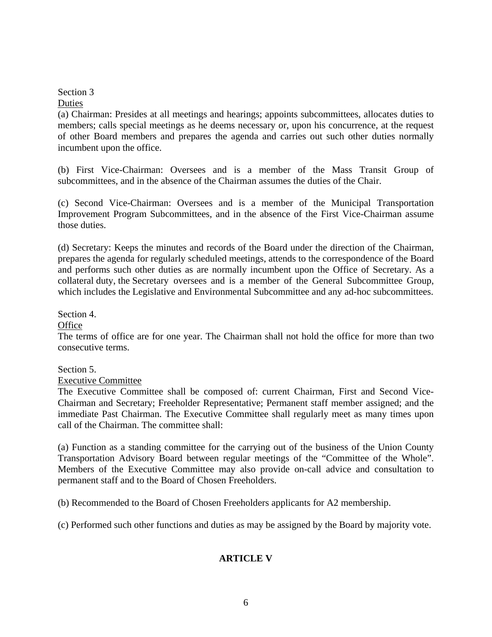#### Section 3 **Duties**

(a) Chairman: Presides at all meetings and hearings; appoints subcommittees, allocates duties to members; calls special meetings as he deems necessary or, upon his concurrence, at the request of other Board members and prepares the agenda and carries out such other duties normally incumbent upon the office.

(b) First Vice-Chairman: Oversees and is a member of the Mass Transit Group of subcommittees, and in the absence of the Chairman assumes the duties of the Chair.

(c) Second Vice-Chairman: Oversees and is a member of the Municipal Transportation Improvement Program Subcommittees, and in the absence of the First Vice-Chairman assume those duties.

(d) Secretary: Keeps the minutes and records of the Board under the direction of the Chairman, prepares the agenda for regularly scheduled meetings, attends to the correspondence of the Board and performs such other duties as are normally incumbent upon the Office of Secretary. As a collateral duty, the Secretary oversees and is a member of the General Subcommittee Group, which includes the Legislative and Environmental Subcommittee and any ad-hoc subcommittees.

Section 4.

**Office** 

The terms of office are for one year. The Chairman shall not hold the office for more than two consecutive terms.

Section 5.

Executive Committee

The Executive Committee shall be composed of: current Chairman, First and Second Vice-Chairman and Secretary; Freeholder Representative; Permanent staff member assigned; and the immediate Past Chairman. The Executive Committee shall regularly meet as many times upon call of the Chairman. The committee shall:

(a) Function as a standing committee for the carrying out of the business of the Union County Transportation Advisory Board between regular meetings of the "Committee of the Whole". Members of the Executive Committee may also provide on-call advice and consultation to permanent staff and to the Board of Chosen Freeholders.

(b) Recommended to the Board of Chosen Freeholders applicants for A2 membership.

(c) Performed such other functions and duties as may be assigned by the Board by majority vote.

### **ARTICLE V**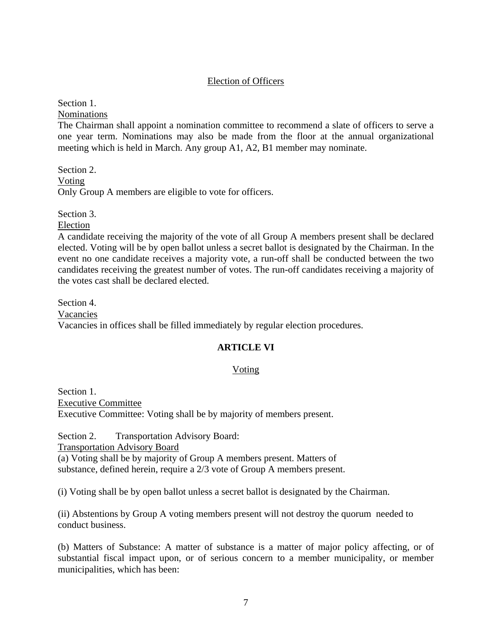#### Election of Officers

Section 1.

Nominations

The Chairman shall appoint a nomination committee to recommend a slate of officers to serve a one year term. Nominations may also be made from the floor at the annual organizational meeting which is held in March. Any group A1, A2, B1 member may nominate.

Section 2. Voting Only Group A members are eligible to vote for officers.

Section 3.

Election

A candidate receiving the majority of the vote of all Group A members present shall be declared elected. Voting will be by open ballot unless a secret ballot is designated by the Chairman. In the event no one candidate receives a majority vote, a run-off shall be conducted between the two candidates receiving the greatest number of votes. The run-off candidates receiving a majority of the votes cast shall be declared elected.

Section 4. Vacancies Vacancies in offices shall be filled immediately by regular election procedures.

### **ARTICLE VI**

#### Voting

Section 1. Executive Committee Executive Committee: Voting shall be by majority of members present.

Section 2. Transportation Advisory Board:

Transportation Advisory Board

(a) Voting shall be by majority of Group A members present. Matters of substance, defined herein, require a 2/3 vote of Group A members present.

(i) Voting shall be by open ballot unless a secret ballot is designated by the Chairman.

(ii) Abstentions by Group A voting members present will not destroy the quorum needed to conduct business.

(b) Matters of Substance: A matter of substance is a matter of major policy affecting, or of substantial fiscal impact upon, or of serious concern to a member municipality, or member municipalities, which has been: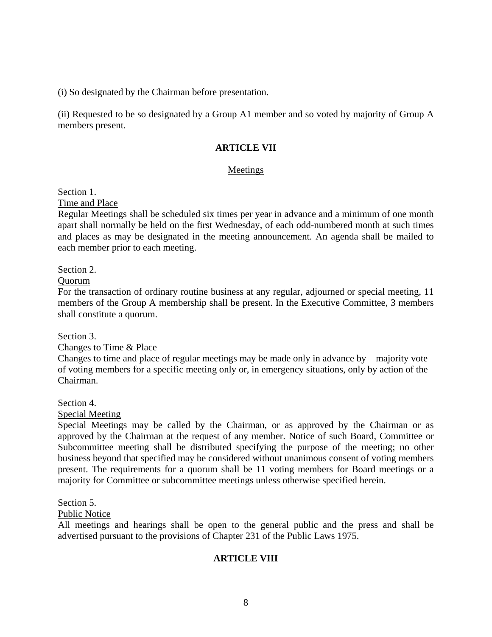(i) So designated by the Chairman before presentation.

(ii) Requested to be so designated by a Group A1 member and so voted by majority of Group A members present.

### **ARTICLE VII**

#### Meetings

Section 1.

Time and Place

Regular Meetings shall be scheduled six times per year in advance and a minimum of one month apart shall normally be held on the first Wednesday, of each odd-numbered month at such times and places as may be designated in the meeting announcement. An agenda shall be mailed to each member prior to each meeting.

Section 2.

Quorum

For the transaction of ordinary routine business at any regular, adjourned or special meeting, 11 members of the Group A membership shall be present. In the Executive Committee, 3 members shall constitute a quorum.

Section 3.

Changes to Time & Place

Changes to time and place of regular meetings may be made only in advance by majority vote of voting members for a specific meeting only or, in emergency situations, only by action of the Chairman.

Section 4.

Special Meeting

Special Meetings may be called by the Chairman, or as approved by the Chairman or as approved by the Chairman at the request of any member. Notice of such Board, Committee or Subcommittee meeting shall be distributed specifying the purpose of the meeting; no other business beyond that specified may be considered without unanimous consent of voting members present. The requirements for a quorum shall be 11 voting members for Board meetings or a majority for Committee or subcommittee meetings unless otherwise specified herein.

Section 5.

Public Notice

All meetings and hearings shall be open to the general public and the press and shall be advertised pursuant to the provisions of Chapter 231 of the Public Laws 1975.

#### **ARTICLE VIII**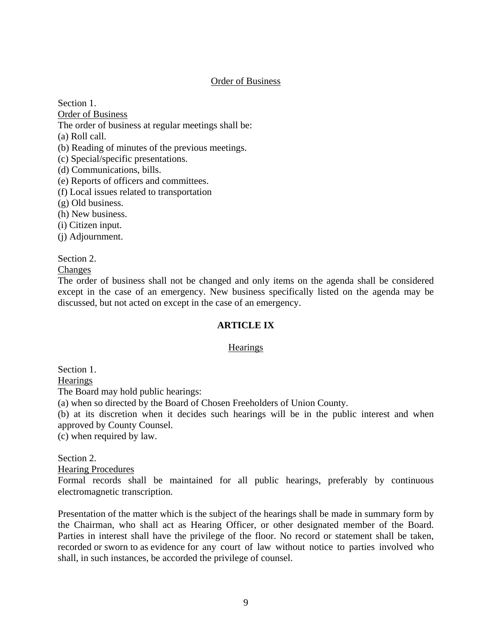#### Order of Business

Section 1.

Order of Business

The order of business at regular meetings shall be:

(a) Roll call.

(b) Reading of minutes of the previous meetings.

(c) Special/specific presentations.

(d) Communications, bills.

(e) Reports of officers and committees.

(f) Local issues related to transportation

(g) Old business.

(h) New business.

(i) Citizen input.

(j) Adjournment.

Section 2.

**Changes** 

The order of business shall not be changed and only items on the agenda shall be considered except in the case of an emergency. New business specifically listed on the agenda may be discussed, but not acted on except in the case of an emergency.

### **ARTICLE IX**

#### **Hearings**

Section 1.

**Hearings** 

The Board may hold public hearings:

(a) when so directed by the Board of Chosen Freeholders of Union County.

(b) at its discretion when it decides such hearings will be in the public interest and when approved by County Counsel.

(c) when required by law.

Section 2.

Hearing Procedures

Formal records shall be maintained for all public hearings, preferably by continuous electromagnetic transcription.

Presentation of the matter which is the subject of the hearings shall be made in summary form by the Chairman, who shall act as Hearing Officer, or other designated member of the Board. Parties in interest shall have the privilege of the floor. No record or statement shall be taken, recorded or sworn to as evidence for any court of law without notice to parties involved who shall, in such instances, be accorded the privilege of counsel.